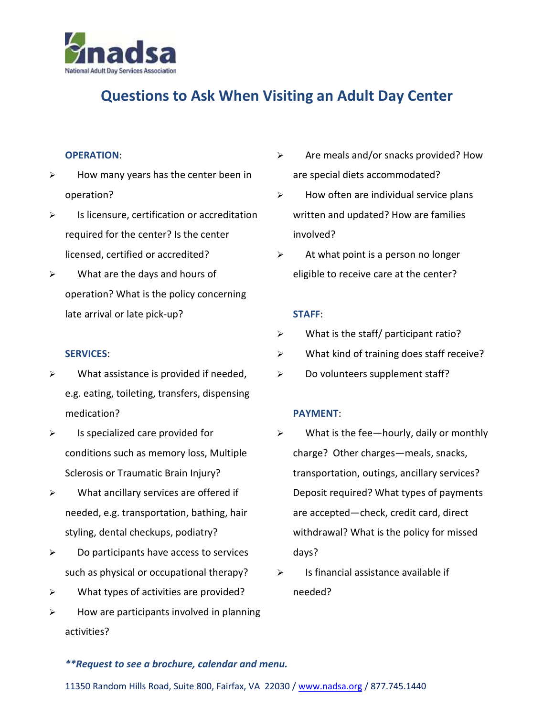

## **Questions to Ask When Visiting an Adult Day Center**

#### **OPERATION**:

- $\triangleright$  How many years has the center been in operation?
- $\triangleright$  Is licensure, certification or accreditation required for the center? Is the center licensed, certified or accredited?
- $\triangleright$  What are the days and hours of operation? What is the policy concerning late arrival or late pick-up?

#### **SERVICES**:

- $\triangleright$  What assistance is provided if needed, e.g. eating, toileting, transfers, dispensing medication?
- $\triangleright$  Is specialized care provided for conditions such as memory loss, Multiple Sclerosis or Traumatic Brain Injury?
- $\triangleright$  What ancillary services are offered if needed, e.g. transportation, bathing, hair styling, dental checkups, podiatry?
- $\triangleright$  Do participants have access to services such as physical or occupational therapy?
- What types of activities are provided?
- $\triangleright$  How are participants involved in planning activities?
- $\triangleright$  Are meals and/or snacks provided? How are special diets accommodated?
- $\triangleright$  How often are individual service plans written and updated? How are families involved?
- $\triangleright$  At what point is a person no longer eligible to receive care at the center?

#### **STAFF**:

- $\triangleright$  What is the staff/ participant ratio?
- $\triangleright$  What kind of training does staff receive?
- $\triangleright$  Do volunteers supplement staff?

### **PAYMENT**:

- $\triangleright$  What is the fee—hourly, daily or monthly charge? Other charges—meals, snacks, transportation, outings, ancillary services? Deposit required? What types of payments are accepted—check, credit card, direct withdrawal? What is the policy for missed days?
- $\triangleright$  Is financial assistance available if needed?

#### *\*\*Request to see a brochure, calendar and menu.*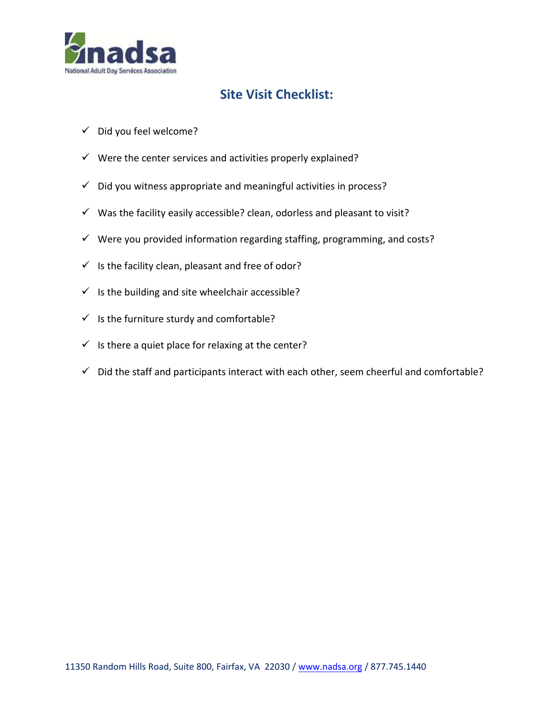

### **Site Visit Checklist:**

- $\checkmark$  Did you feel welcome?
- $\checkmark$  Were the center services and activities properly explained?
- $\checkmark$  Did you witness appropriate and meaningful activities in process?
- $\checkmark$  Was the facility easily accessible? clean, odorless and pleasant to visit?
- $\checkmark$  Were you provided information regarding staffing, programming, and costs?
- $\checkmark$  Is the facility clean, pleasant and free of odor?
- $\checkmark$  Is the building and site wheelchair accessible?
- $\checkmark$  Is the furniture sturdy and comfortable?
- $\checkmark$  Is there a quiet place for relaxing at the center?
- $\checkmark$  Did the staff and participants interact with each other, seem cheerful and comfortable?